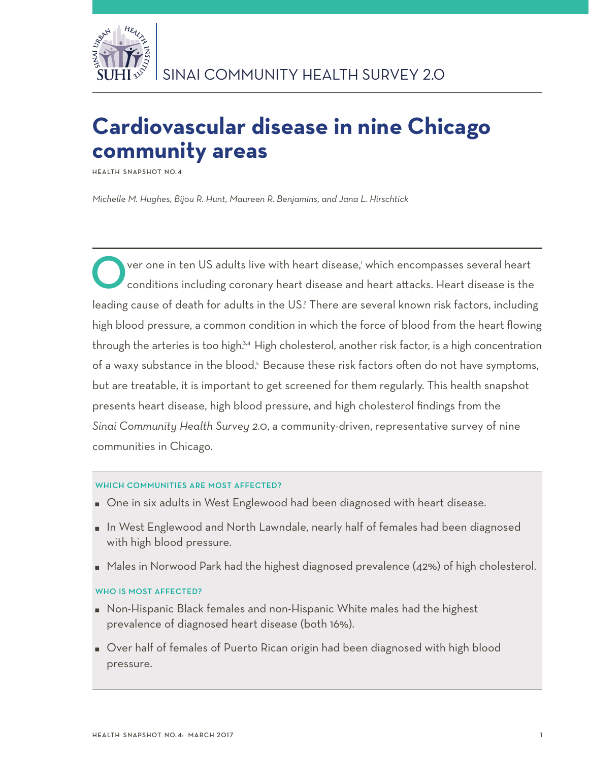

# **Cardiovascular disease in nine Chicago community areas**

**Health Snapshot No.4**

*Michelle M. Hughes, Bijou R. Hunt, Maureen R. Benjamins, and Jana L. Hirschtick*

**O** ver one in ten US adults live with heart disease,<sup>1</sup> conditions including coronary heart disease and ver one in ten US adults live with heart disease,' which encompasses several heart conditions including coronary heart disease and heart attacks. Heart disease is the leading cause of death for adults in the US? There are several known risk factors, including high blood pressure, a common condition in which the force of blood from the heart flowing through the arteries is too high.<sup>3,4</sup> High cholesterol, another risk factor, is a high concentration of a waxy substance in the blood.<sup>5</sup> Because these risk factors often do not have symptoms, but are treatable, it is important to get screened for them regularly. This health snapshot presents heart disease, high blood pressure, and high cholesterol findings from the *Sinai Community Health Survey 2.0*, a community-driven, representative survey of nine communities in Chicago.

## WHICH COMMUNITIES ARE MOST AFFECTED?

- One in six adults in West Englewood had been diagnosed with heart disease.
- In West Englewood and North Lawndale, nearly half of females had been diagnosed with high blood pressure.
- Males in Norwood Park had the highest diagnosed prevalence (42%) of high cholesterol.

## WHO IS MOST AFFECTED?

- Non-Hispanic Black females and non-Hispanic White males had the highest prevalence of diagnosed heart disease (both 16%).
- Over half of females of Puerto Rican origin had been diagnosed with high blood pressure.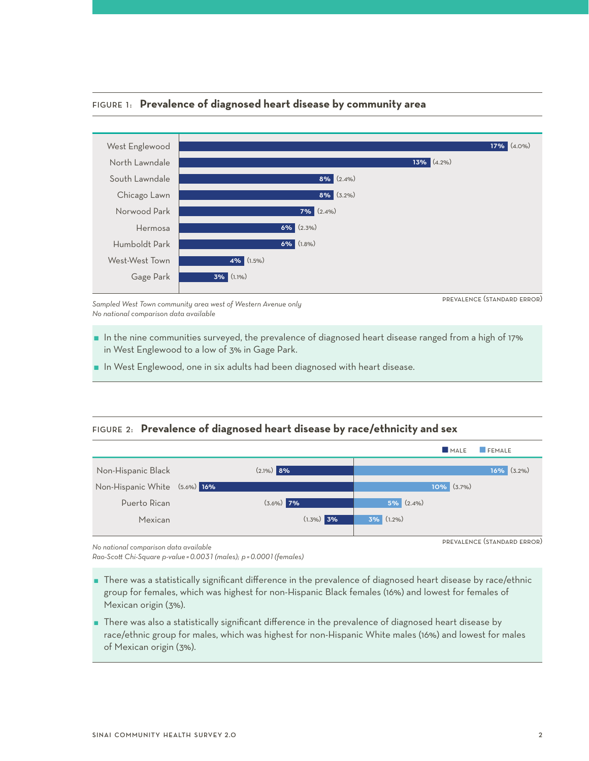

#### Figure 1: **Prevalence of diagnosed heart disease by community area**

*Sampled West Town community area west of Western Avenue only No national comparison data available* 

prevalence (standard error)

- $\blacksquare$  In the nine communities surveyed, the prevalence of diagnosed heart disease ranged from a high of 17% in West Englewood to a low of 3% in Gage Park.
- **I** In West Englewood, one in six adults had been diagnosed with heart disease.

## Figure 2: **Prevalence of diagnosed heart disease by race/ethnicity and sex**



*No national comparison data available* 

*Rao-Scott Chi-Square p-value =0.0031 (males); p =0.0001 (females)*

- There was a statistically significant difference in the prevalence of diagnosed heart disease by race/ethnic group for females, which was highest for non-Hispanic Black females (16%) and lowest for females of Mexican origin (3%).
- There was also a statistically significant difference in the prevalence of diagnosed heart disease by race/ethnic group for males, which was highest for non-Hispanic White males (16%) and lowest for males of Mexican origin (3%).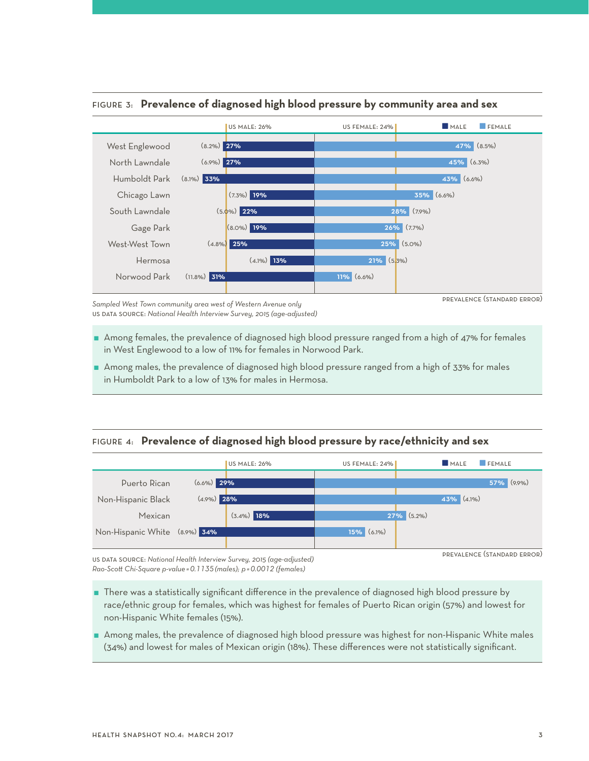

## Figure 3: **Prevalence of diagnosed high blood pressure by community area and sex**

*Sampled West Town community area west of Western Avenue only* us data source: *National Health Interview Survey, 2015 (age-adjusted)*  prevalence (standard error)

- Among females, the prevalence of diagnosed high blood pressure ranged from a high of 47% for females in West Englewood to a low of 11% for females in Norwood Park.
- Among males, the prevalence of diagnosed high blood pressure ranged from a high of 33% for males in Humboldt Park to a low of 13% for males in Hermosa.

## Figure 4: **Prevalence of diagnosed high blood pressure by race/ethnicity and sex**



us data source: *National Health Interview Survey, 2015 (age-adjusted) Rao-Scott Chi-Square p-value =0.1135 (males); p =0.0012 (females)*

- 
- There was a statistically significant difference in the prevalence of diagnosed high blood pressure by race/ethnic group for females, which was highest for females of Puerto Rican origin (57%) and lowest for non-Hispanic White females (15%).
- Among males, the prevalence of diagnosed high blood pressure was highest for non-Hispanic White males (34%) and lowest for males of Mexican origin (18%). These differences were not statistically significant.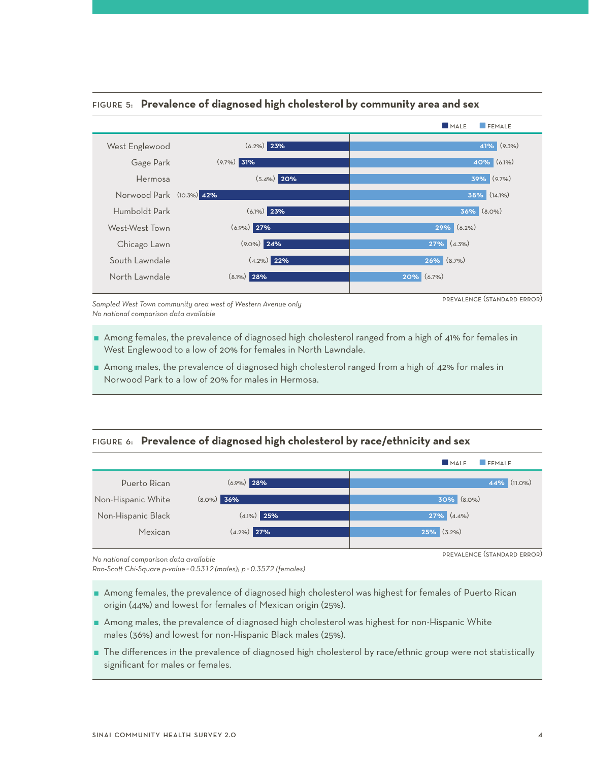

# Figure 5: **Prevalence of diagnosed high cholesterol by community area and sex**

*Sampled West Town community area west of Western Avenue only No national comparison data available* 

- Among females, the prevalence of diagnosed high cholesterol ranged from a high of 41% for females in West Englewood to a low of 20% for females in North Lawndale.
- Among males, the prevalence of diagnosed high cholesterol ranged from a high of 42% for males in Norwood Park to a low of 20% for males in Hermosa.

## Figure 6: **Prevalence of diagnosed high cholesterol by race/ethnicity and sex**



*No national comparison data available* 

*Rao-Scott Chi-Square p-value =0.5312 (males); p =0.3572 (females)*

- Among females, the prevalence of diagnosed high cholesterol was highest for females of Puerto Rican origin (44%) and lowest for females of Mexican origin (25%).
- Among males, the prevalence of diagnosed high cholesterol was highest for non-Hispanic White males (36%) and lowest for non-Hispanic Black males (25%).
- The differences in the prevalence of diagnosed high cholesterol by race/ethnic group were not statistically significant for males or females.